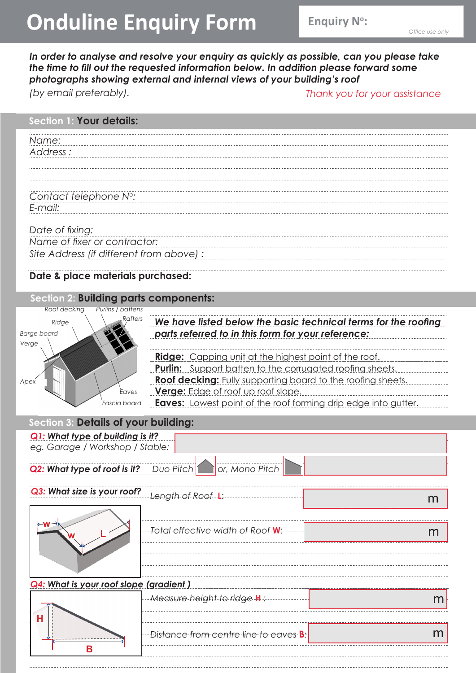# **Onduline Enquiry Form**

**Enquiry N°:** 

*In order to analyse and resolve your enquiry as quickly as possible, can you please take the time to fill out the requested information below. In addition please forward some photographs showing external and internal views of your building's roof (by email preferably). Thank you for your assistance*

## *Name: Address : Contact telephone No: E-mail: Date of fixing: Name of fixer or contractor: Site Address (if different from above) :* **Section 1: Your details:**

#### **Date & place materials purchased:**

#### **Section 2: Building parts components:**



*We have listed below the basic technical terms for the roofing parts referred to in this form for your reference:*

**Ridge:** Capping unit at the highest point of the roof. **Purlin:** Support batten to the corrugated roofing sheets. **Roof decking:** Fully supporting board to the roofing sheets. **Verge:** Edge of roof up roof slope.

**Eaves:** Lowest point of the roof forming drip edge into gutter.

#### **Section 3: Details of your building:**